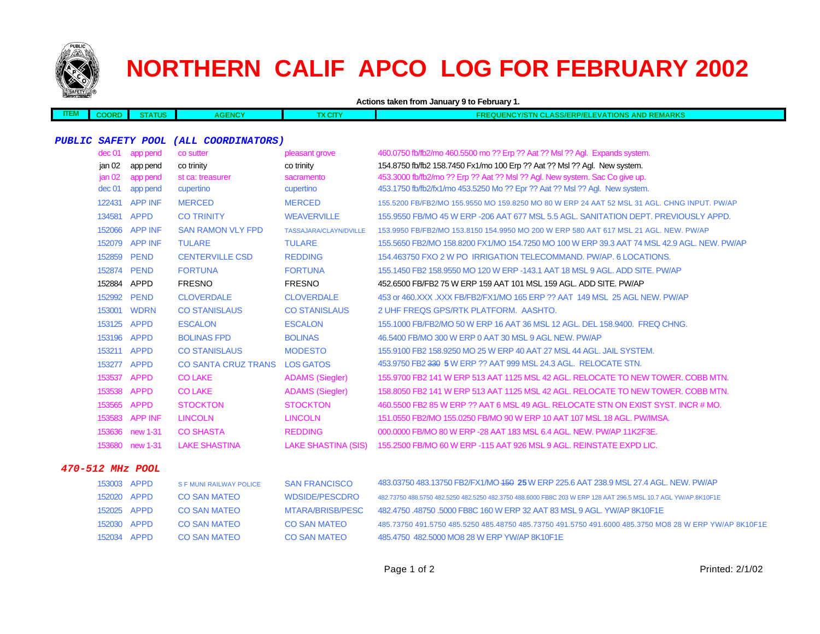

# **NORTHERN CALIF APCO LOG FOR FEBRUARY 2002**

|             |                   | Actions taken from January 9 to February 1. |                                       |                            |                                                                                                                |  |  |
|-------------|-------------------|---------------------------------------------|---------------------------------------|----------------------------|----------------------------------------------------------------------------------------------------------------|--|--|
| <b>ITEM</b> | <b>COORD</b>      | <b>STATUS</b>                               | <b>AGENCY</b>                         | <b>TX CITY</b>             | <b>FREQUENCY/STN CLASS/ERP/ELEVATIONS AND REMARKS</b>                                                          |  |  |
|             |                   |                                             |                                       |                            |                                                                                                                |  |  |
|             |                   |                                             | PUBLIC SAFETY POOL (ALL COORDINATORS) |                            |                                                                                                                |  |  |
|             | dec 01            | app pend                                    | co sutter                             | pleasant grove             | 460.0750 fb/fb2/mo 460.5500 mo ?? Erp ?? Aat ?? Msl ?? Agl. Expands system.                                    |  |  |
|             | jan 02            | app pend                                    | co trinity                            | co trinity                 | 154.8750 fb/fb2 158.7450 Fx1/mo 100 Erp ?? Aat ?? Msl ?? Agl. New system.                                      |  |  |
|             | jan <sub>02</sub> | app pend                                    | st ca: treasurer                      | sacramento                 | 453.3000 fb/fb2/mo ?? Erp ?? Aat ?? Msl ?? Agl. New system. Sac Co give up.                                    |  |  |
|             | dec <sub>01</sub> | app pend                                    | cupertino                             | cupertino                  | 453.1750 fb/fb2/fx1/mo 453.5250 Mo ?? Epr ?? Aat ?? Msl ?? Agl. New system.                                    |  |  |
|             |                   | 122431 APP INF                              | <b>MERCED</b>                         | <b>MERCED</b>              | 155.5200 FB/FB2/MO 155.9550 MO 159.8250 MO 80 W ERP 24 AAT 52 MSL 31 AGL, CHNG INPUT, PW/AP                    |  |  |
|             | 134581 APPD       |                                             | <b>CO TRINITY</b>                     | <b>WEAVERVILLE</b>         | 155,9550 FB/MO 45 W ERP -206 AAT 677 MSL 5.5 AGL, SANITATION DEPT, PREVIOUSLY APPD.                            |  |  |
|             |                   | 152066 APP INF                              | <b>SAN RAMON VLY FPD</b>              | TASSAJARA/CLAYN/DVILLE     | 153.9950 FB/FB2/MO 153.8150 154.9950 MO 200 W ERP 580 AAT 617 MSL 21 AGL. NEW. PW/AP                           |  |  |
|             |                   | 152079 APP INF                              | <b>TULARE</b>                         | <b>TULARE</b>              | 155,5650 FB2/MO 158,8200 FX1/MO 154,7250 MO 100 W ERP 39.3 AAT 74 MSL 42.9 AGL, NEW, PW/AP                     |  |  |
|             | 152859            | <b>PEND</b>                                 | <b>CENTERVILLE CSD</b>                | <b>REDDING</b>             | 154.463750 FXO 2 W PO IRRIGATION TELECOMMAND. PW/AP. 6 LOCATIONS.                                              |  |  |
|             | 152874 PEND       |                                             | <b>FORTUNA</b>                        | <b>FORTUNA</b>             | 155.1450 FB2 158.9550 MO 120 W ERP -143.1 AAT 18 MSL 9 AGL, ADD SITE, PW/AP                                    |  |  |
|             | 152884 APPD       |                                             | <b>FRESNO</b>                         | <b>FRESNO</b>              | 452.6500 FB/FB2 75 W ERP 159 AAT 101 MSL 159 AGL. ADD SITE, PW/AP                                              |  |  |
|             | 152992 PEND       |                                             | <b>CLOVERDALE</b>                     | <b>CLOVERDALE</b>          | 453 or 460.XXX .XXX FB/FB2/FX1/MO 165 ERP ?? AAT 149 MSL 25 AGL NEW. PW/AP                                     |  |  |
|             | 153001            | <b>WDRN</b>                                 | <b>CO STANISLAUS</b>                  | <b>CO STANISLAUS</b>       | 2 UHF FREQS GPS/RTK PLATFORM. AASHTO.                                                                          |  |  |
|             | 153125 APPD       |                                             | <b>ESCALON</b>                        | <b>ESCALON</b>             | 155,1000 FB/FB2/MO 50 W ERP 16 AAT 36 MSL 12 AGL, DEL 158,9400, FREQ CHNG.                                     |  |  |
|             | 153196 APPD       |                                             | <b>BOLINAS FPD</b>                    | <b>BOLINAS</b>             | 46.5400 FB/MO 300 W ERP 0 AAT 30 MSL 9 AGL NEW. PW/AP                                                          |  |  |
|             | 153211 APPD       |                                             | <b>CO STANISLAUS</b>                  | <b>MODESTO</b>             | 155,9100 FB2 158,9250 MO 25 W ERP 40 AAT 27 MSL 44 AGL, JAIL SYSTEM.                                           |  |  |
|             | 153277 APPD       |                                             | <b>CO SANTA CRUZ TRANS</b>            | <b>LOS GATOS</b>           | 453.9750 FB2 330 5 W ERP ?? AAT 999 MSL 24.3 AGL. RELOCATE STN.                                                |  |  |
|             | 153537 APPD       |                                             | <b>CO LAKE</b>                        | <b>ADAMS (Siegler)</b>     | 155.9700 FB2 141 W ERP 513 AAT 1125 MSL 42 AGL. RELOCATE TO NEW TOWER. COBB MTN.                               |  |  |
|             | 153538            | <b>APPD</b>                                 | <b>CO LAKE</b>                        | <b>ADAMS (Siegler)</b>     | 158,8050 FB2 141 W ERP 513 AAT 1125 MSL 42 AGL. RELOCATE TO NEW TOWER, COBB MTN.                               |  |  |
|             | 153565            | <b>APPD</b>                                 | <b>STOCKTON</b>                       | <b>STOCKTON</b>            | 460.5500 FB2 85 W ERP ?? AAT 6 MSL 49 AGL. RELOCATE STN ON EXIST SYST. INCR # MO.                              |  |  |
|             |                   | 153583 APP INF                              | <b>LINCOLN</b>                        | <b>LINCOLN</b>             | 151.0550 FB2/MO 155.0250 FB/MO 90 W ERP 10 AAT 107 MSL 18 AGL, PW/IMSA.                                        |  |  |
|             | 153636            | new 1-31                                    | <b>CO SHASTA</b>                      | <b>REDDING</b>             | 000,0000 FB/MO 80 W ERP -28 AAT 183 MSL 6.4 AGL, NEW, PW/AP 11K2F3E.                                           |  |  |
|             |                   | 153680 new 1-31                             | <b>LAKE SHASTINA</b>                  | <b>LAKE SHASTINA (SIS)</b> | 155.2500 FB/MO 60 W ERP -115 AAT 926 MSL 9 AGL. REINSTATE EXPD LIC.                                            |  |  |
|             |                   | 470-512 MHz POOL                            |                                       |                            |                                                                                                                |  |  |
|             | 153003 APPD       |                                             | <b>S F MUNI RAILWAY POLICE</b>        | <b>SAN FRANCISCO</b>       | 483.03750 483.13750 FB2/FX1/MO <del>150</del> 25 W ERP 225.6 AAT 238.9 MSL 27.4 AGL. NEW. PW/AP                |  |  |
|             | 152020 APPD       |                                             | <b>CO SAN MATEO</b>                   | <b>WDSIDE/PESCDRO</b>      | 482.73750 488.5750 482.5250 482.5250 482.3750 488.6000 FB8C 203 W ERP 128 AAT 296.5 MSL 10.7 AGL YW/AP.8K10F1E |  |  |
|             | 152025            | APPD                                        | <b>CO SAN MATEO</b>                   | <b>MTARA/BRISB/PESC</b>    | 482.4750 .48750 .5000 FB8C 160 W ERP 32 AAT 83 MSL 9 AGL. YW/AP 8K10F1E                                        |  |  |
|             | 152030 APPD       |                                             | <b>CO SAN MATEO</b>                   | <b>CO SAN MATEO</b>        | 485.73750 491.5750 485.5250 485.48750 485.73750 491.5750 491.6000 485.3750 MO8 28 W ERP YW/AP 8K10F1E          |  |  |
|             | 152034 APPD       |                                             | <b>CO SAN MATEO</b>                   | <b>CO SAN MATEO</b>        | 485,4750 482,5000 MO8 28 W ERP YW/AP 8K10F1E                                                                   |  |  |